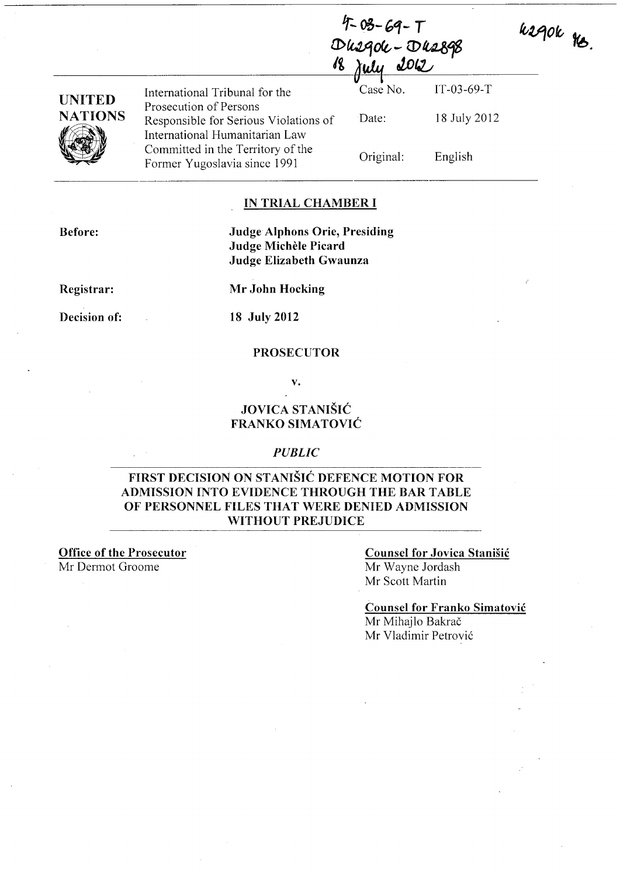| $4 - 03 - 69 - T$ |                     |
|-------------------|---------------------|
|                   | Dusqok - Dus898     |
|                   | <u>18 july 2012</u> |
|                   |                     |

| UNITED  |  |
|---------|--|
| NATIONS |  |
|         |  |

International Tribunal for the Case No. IT -03-69-T Prosecution of Persons Responsible for Serious Violations of International Humanitarian Law Committed in the Territory of the Former Yugoslavia since 1991

Date: Original:

18 July 2012 English

usque re.

## IN TRIAL CHAMBER I

Before:

### Judge Alphons Orie, Presiding Judge Michele Picard Judge Elizabeth Gwaunza

Registrar:

Mr John Hocking

Decision of: 18 July 2012

#### PROSECUTOR

v.

### JOVICA STANIŠIĆ FRANKO SIMATOVIC

#### *PUBLIC*

### FIRST DECISION ON STANISIC DEFENCE MOTION FOR ADMISSION INTO EVIDENCE THROUGH THE BAR TABLE OF PERSONNEL FILES THAT WERE DENIED ADMISSION WITHOUT PREJUDICE

Office of the Prosecutor Mr Dermot Groome

### Counsel for Jovica Stanisic

Mr Wayne Jordash Mr Scott Martin

Counsel for Franko Simatovic Mr Mihajlo Bakrač

Mr Vladimir Petrovi6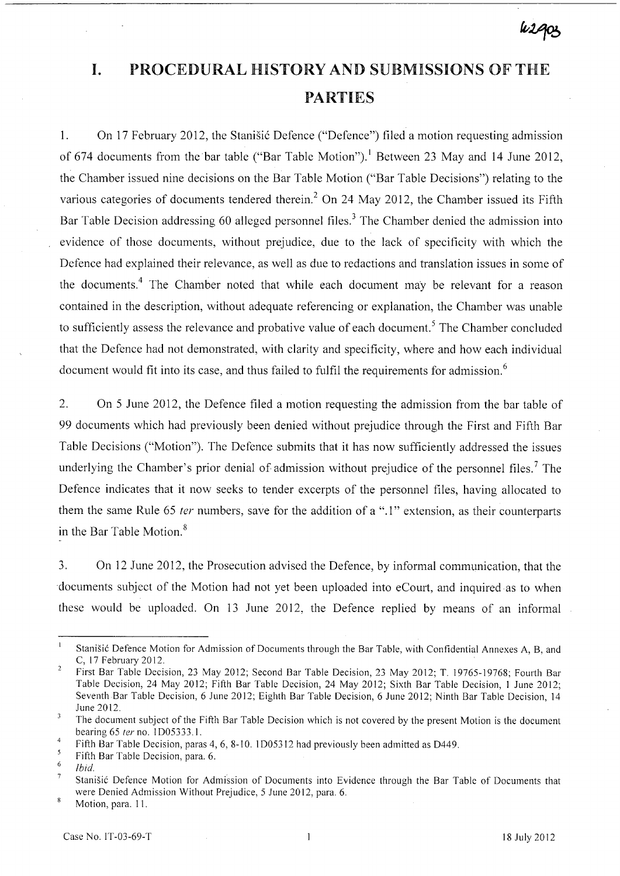# **I.** PROCEDURAL HISTORY AND SUBMISSIONS OF THE PARTIES

1. On 17 February 2012, the Stanisic Defence ("Defence") filed a motion requesting admission of 674 documents from the bar table ("Bar Table Motion").<sup>1</sup> Between 23 May and 14 June 2012, the Chamber issued nine decisions on the Bar Table Motion ("Bar Table Decisions") relating to the various categories of documents tendered therein.<sup>2</sup> On 24 May 2012, the Chamber issued its Fifth Bar Table Decision addressing 60 alleged personnel files.<sup>3</sup> The Chamber denied the admission into evidence of those documents, without prejudice, due to the lack of specificity with which the Defence had explained their relevance, as well as due to redactions and translation issues in some of the documents.<sup>4</sup> The Chamber noted that while each document may be relevant for a reason contained in the description, without adequate referencing or explanation, the Chamber was unable to sufficiently assess the relevance and probative value of each document.<sup>5</sup> The Chamber concluded that the Defence had not demonstrated, with clarity and specificity, where and how each individual document would fit into its case, and thus failed to fulfil the requirements for admission.<sup>6</sup>

2. On 5 June 2012, the Defence filed a motion requesting the admission from the bar table of 99 documents which had previously been denied without prejudice through the First and Fifth Bar Table Decisions ("Motion"). The Defence submits that it has now sufficiently addressed the issues underlying the Chamber's prior denial of admission without prejudice of the personnel files.<sup>7</sup> The Defence indicates that it now seeks to tender excerpts of the personnel files, having allocated to them the same Rule 65 *ter* numbers, save for the addition of a ".1" extension, as their counterparts in the Bar Table Motion. <sup>8</sup>

3. On 12 June 2012, the Prosecution advised the Defence, by informal communication, that the documents subject of the Motion had not yet been uploaded into eCourt, and inquired as to when these would be uploaded. On 13 June 2012, the Defence replied by means of an informal

8 Motion, para. I I.

 $\mathbf{1}$ Stanišić Defence Motion for Admission of Documents through the Bar Table, with Confidential Annexes A, B, and C, 17 February 2012.

 $\overline{2}$ First Bar Table Decision, 23 May 2012; Second Bar Table Decision, 23 May 2012; T. 19765-19768; Fourth Bar Table Decision, 24 May 2012; Fifth Bar Table Decision, 24 May 2012; Sixth Bar Table Decision, 1 June 2012; Seventh Bar Table Decision, 6 June 2012; Eighth Bar Table Decision, 6 June 2012; Ninth Bar Table Decision, 14 June 2012.  $\overline{\mathbf{3}}$ 

The document subject of the Fifth Bar Table Decision which is not covered by the present Motion is the document bearing 65 fer no. 1005333.1.  $\overline{4}$ 

Fifth Bar Table Decision, paras 4, 6, 8-10. 1D05312 had previously been admitted as D449.

 $\overline{5}$ Fifth Bar Table Decision, para. 6. 6

*Ibid.* 

 $\overline{7}$ Stanišić Defence Motion for Admission of Documents into Evidence through the Bar Table of Documents that were Denied Admission Without Prejudice, 5 June 2012, para. 6.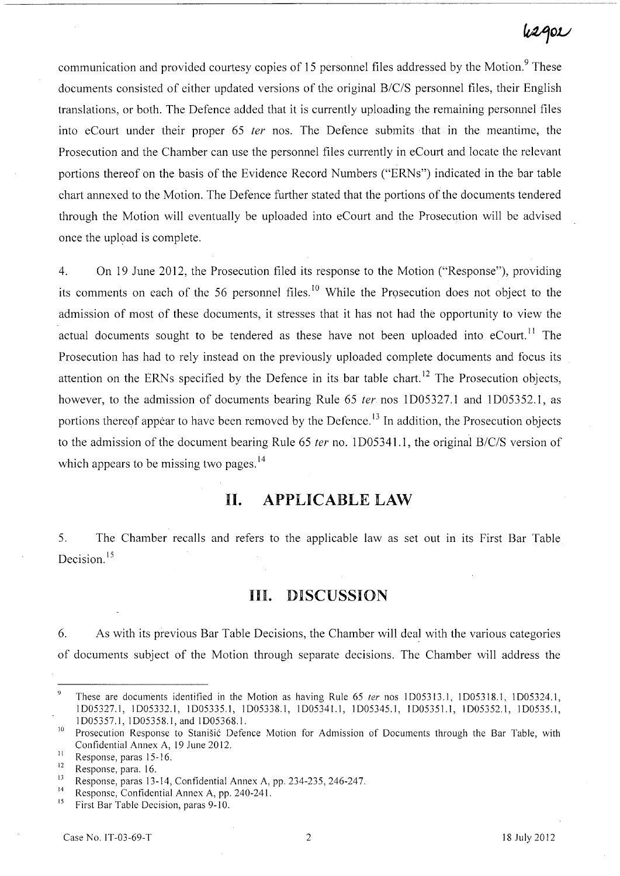# **fuV:Jov**

communication and provided courtesy copies of 15 personnel files addressed by the Motion.<sup>9</sup> These documents consisted of either updated versions of the original B/C/S personnel files, their English translations, or both. The Defence added that it is currently uploading the remaining personnel files into eCourt under their proper 65 fer nos. The Defence submits that in the meantime, the Prosecution and the Chamber can use the personnel files currently in eCourt and locate the relevant portions thereof on the basis of the Evidence Record Numbers ("ERNs") indicated in the bar table chart annexed to the Motion. The Defence further stated that the portions of the documents tendered through the Motion will eventually be uploaded into eCourt and the Prosecution will be advised once the upload is complete.

4. On 19 June 2012, the Prosecution filed its response to the Motion ("Response"), providing its comments on each of the 56 personnel files.<sup>10</sup> While the Prosecution does not object to the admission of most of these documents, it stresses that it has not had the opportunity to view the actual documents sought to be tendered as these have not been uploaded into  $e$ Court.<sup>11</sup> The Prosecution has had to rely instead on the previously uploaded complete documents and focus its attention on the ERNs specified by the Defence in its bar table chart.<sup>12</sup> The Prosecution objects, however, to the admission of documents bearing Rule 65 *ter* nos 1D05327.1 and 1D05352.1, as portions thereof appear to have been removed by the Defence.<sup>13</sup> In addition, the Prosecution objects to the admission of the document bearing Rule 65 *ter* no. 1D05341.1, the original B/C/S version of which appears to be missing two pages.<sup>14</sup>

## **11. APPLICABLE LAW**

5. The Chamber recalls and refers to the applicable law as set out in its First Bar Table Decision.<sup>15</sup>

### **Ill. DISCUSSION**

6. As with its previous Bar Table Decisions, the Chamber will deal with the various categories of documents subject of the Motion through separate decisions. The Chamber will address the

 $\overline{9}$ These are documents identified in the Motion as having Rule 65 ter nos 1D05313.1, 1D05318.1, 1D05324.1, 1005327.1, 1005332.1, 1005335.1, 1005338.1, 1005341.1, 1005345.1, 1005351.1, 1005352.1, 100535.1, 1005357.1, 1005358.1, and 1005368.1.

<sup>&</sup>lt;sup>10</sup> Prosecution Response to Stanišić Defence Motion for Admission of Documents through the Bar Table, with Confidential Annex A, 19 June 2012.

 $\frac{11}{12}$  Response, paras 15-16.

 $\frac{12}{13}$  Response, para. 16.

<sup>&</sup>lt;sup>13</sup>Response, paras 13-14, Confidential Annex A, pp. 234-235, 246-247.

<sup>&</sup>lt;sup>14</sup> Response, Confidential Annex A, pp. 240-241.

<sup>15</sup>First Bar Table Decision, paras 9-10.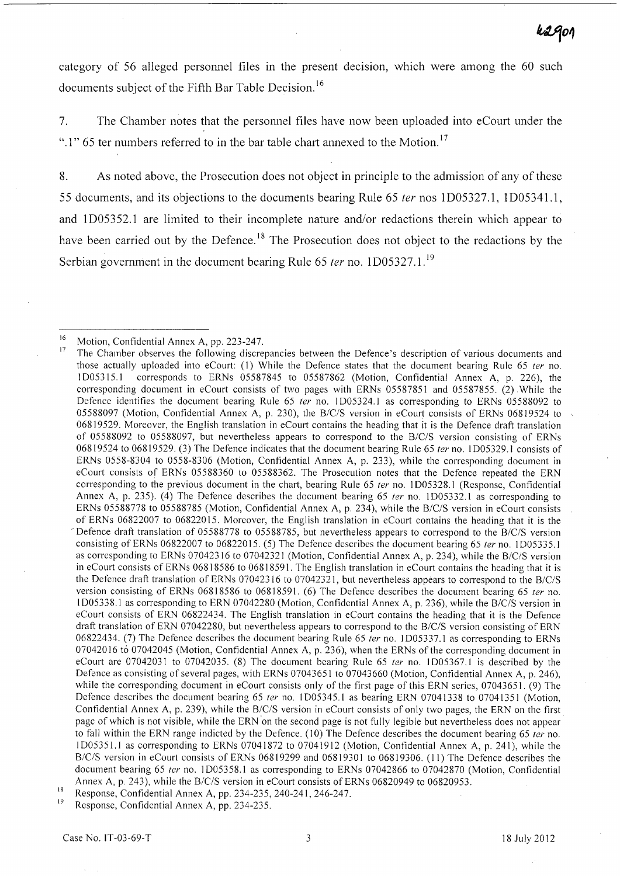category of 56 alleged personnel files in the present decision, which were among the 60 such documents subject of the Fifth Bar Table Decision.<sup>16</sup>

7. The Chamber notes that the personnel files have now been uploaded into eCourt under the ".1" 65 ter numbers referred to in the bar table chart annexed to the Motion.<sup>17</sup>

8. As noted above, the Prosecution does not object in principle to the admission of any of these 55 documents, and its objections to the documents bearing Rule 65 fer nos 1D05327.1, ID05341.1, and 1D05352.1 are limited to their incomplete nature and/or redactions therein which appear to have been carried out by the Defence.<sup>18</sup> The Prosecution does not object to the redactions by the Serbian government in the document bearing Rule 65  $ter$  no. 1D05327.1.<sup>19</sup>

Response, Confidential Annex A, pp. 234-235.

<sup>&</sup>lt;sup>16</sup> Motion, Confidential Annex A, pp. 223-247.<br><sup>17</sup> The Chamber observes the following discre

<sup>17</sup>The Chamber observes the following discrepancies between the Defence's description of various documents and those actually uploaded into eCourt: (1) While the Defence states that the document bearing Rule 65 ter no. 1005315.1 corresponds to ERNs 05587845 to 05587862 (Motion, Confidential Annex A, p. 226), the corresponding document in eCourt consists of two pages with ERNs 05587851 and 05587855. (2) While the Defence identifies the document bearing Rule 65 ter no. 1D05324.1 as corresponding to ERNs 05588092 to 05588097 (Motion, Confidential Annex A, p. 230), the B/C/S version in eCourt consists of ERNs 06819524 to 06819529. Moreover, the English translation in eCourt contains the heading that it is the Defence draft translation of 05588092 to 05588097, but nevertheless appears to correspond to the *B/C/S* version consisting of ERNs 06819524 to 06819529. (3) The Defence indicates that the document bearing Rule 65 ter no. 1D05329.1 consists of ERNs 0558-8304 to 0558-8306 (Motion, Confidential Annex A, p. 233), while the corresponding document in eCourt consists of ERNs 05588360 to 05588362. The Prosecution notes that the Defence repeated the ERN corresponding to the previous document in the chart, bearing Rule 65 ter no. 1D05328.1 (Response, Confidential Annex A, p. 235). (4) The Defence describes the document bearing 65 ter no. 1D05332.1 as corresponding to ERNs 05588778 to 05588785 (Motion, Confidential Annex A, p. 234), while the *B/C/S* version in eCourt consists of ERNs 06822007 to 06822015. Moreover, the English translation in eCourt contains the heading that it is the - Defence draft translation of 05588778 to 05588785, but nevertheless appears to correspond to the *B/C/S* version consisting of ERNs 06822007 to 06822015. (5) The Defence describes the document bearing 65 ter no. 1D05335.1 as corresponding to ERNs 07042316 to 07042321 (Motion, Confidential Annex A, p. 234), while the *B/C/S* version in eCourt consists of ERNs 06818586 to 06818591. The English translation in eCourt contains the heading that it is the Defence draft translation of ERNs 07042316 to 07042321, but nevertheless appears to correspond to the *B/c/S*  version consisting of ERNs 06818586 to 06818591. (6) The Defence describes the document bearing 65 ter no. 1005338.1 as corresponding to ERN 07042280 (Motion, Confidential Annex A, p. 236), while the *B/C/S* version in eCourt consists of ERN 06822434. The English translation in eCourt contains the heading that it is the Defence draft translation of ERN 07042280, but nevertheless appears to correspond to the *B/c/S* version consisting of ERN 06822434. (7) The Defence describes the document bearing Rule 65 ter no. 1D05337.1 as corresponding to ERNs 07042016 to 07042045 (Motion, Confidential Annex A, p. 236), when the ERNs of the corresponding document in eCourt are 07042031 to 07042035. (8) The document bearing Rule 65 ter no. 1D05367.1 is described by the Defence as consisting of several pages, with ERNs 07043651 to 07043660 (Motion, Confidential Annex A, p. 246), while the corresponding document in eCourt consists only of the first page of this ERN series, 07043651. (9) The Defence describes the document bearing 65 ter no. 1D05345.1 as bearing ERN 07041338 to 07041351 (Motion, Confidential Annex A, p. 239), while the *B/C/S* version in eCourt consists of only two pages, the ERN on the first page of which is not visible, while the ERN on the second page is not fully legible but nevertheless does not appear to fall within the ERN range indicted by the Defence. (10) The Defence describes the document bearing 65 ter no. 1005351.1 as corresponding to ERNs 07041872 to 07041912 (Motion, Confidential Annex A, p. 241), while the *B/C/S* version in eCourt consists of ERNs 06819299 and 06819301 to 06819306. (11) The Defence describes the document bearing 65 ter no. 1D05358.1 as corresponding to ERNs 07042866 to 07042870 (Motion, Confidential Annex A, p. 243), while the *B/c/S* version in eCourt consists of ERNs 06820949 to 06820953.

 $18$  Response, Confidential Annex A, pp. 234-235, 240-241, 246-247.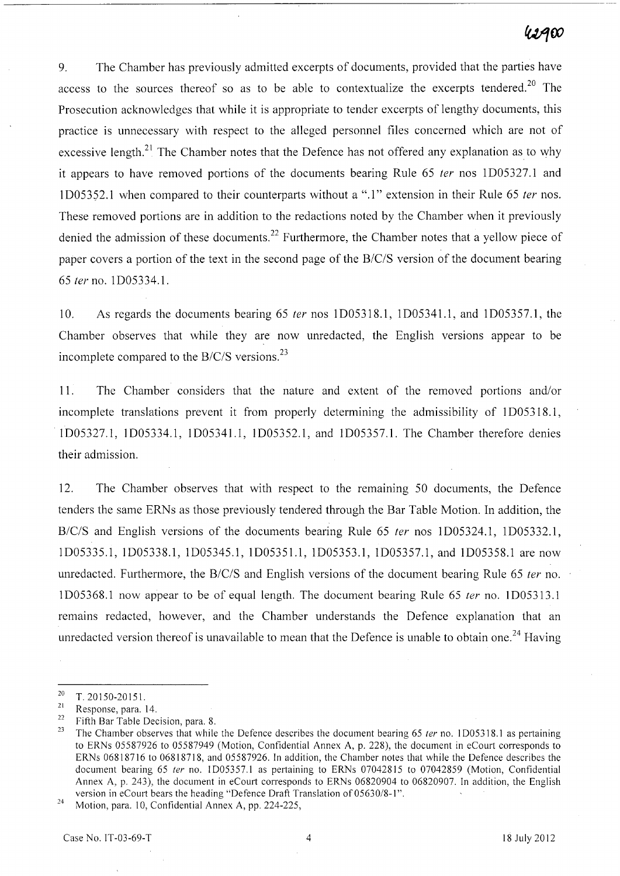# 42A00

9. The Chamber has previously admitted excerpts of documents, provided that the parties have access to the sources thereof so as to be able to contextualize the excerpts tendered.<sup>20</sup> The Prosecution acknowledges that while it is appropriate to tender excerpts of lengthy documents, this practice is unnecessary with respect to the alleged personnel files concerned which are not of excessive length.<sup>21</sup> The Chamber notes that the Defence has not offered any explanation as to why it appears to have removed portions of the documents bearing Rule 65 ter nos 1D05327.1 and ID05352.1 when compared to their counterparts without a ".1" extension in their Rule 65 fer nos. These removed portions are in addition to the redactions noted by the Chamber when it previously denied the admission of these documents.<sup>22</sup> Furthermore, the Chamber notes that a yellow piece of paper covers a portion of the text in the second page of the *B/C/S* version of the document bearing *65* fer no. 1 D05334.1.

10. As regards the documents bearing 65 fer nos ID053l8.1, ID05341.I, and ID05357.I, the Chamber observes that while they are now unredacted, the English versions appear to be incomplete compared to the *B/C/S* versions.23

11. The Chamber considers that the nature and extent of the removed portions and/or incomplete translations prevent it from properly determining the admissibility of 1D05318.1, lD05327.l, lD05334.l, lD05341.l, lD05352.l, and lD05357.1. The Chamber therefore denies their admission.

12. The Chamber observes that with respect to the remaining 50 documents, the Defence tenders the same ERNs as those previously tendered through the Bar Table Motion. In addition, the *B/C/S* and English versions of the documents bearing Rule 65 fer nos lD05324.1, ID05332.l, lD05335.l, lD05338.l, lD05345.l, lD05351.l, lD05353.l, lD05357.l, and lD05358.l are now unredacted. Furthermore, the *B/C/S* and English versions of the document bearing Rule 65 fer no. ID05368.1 now appear to be of equal length. The document bearing Rule 65 fer no. 1D05313.1 remains redacted, however, and the Chamber understands the Defence explanation that an unredacted version thereof is unavailable to mean that the Defence is unable to obtain one.<sup>24</sup> Having

 $\frac{20}{21}$  T. 20150-20151.

<sup>&</sup>lt;sup>21</sup> Response, para. 14.

<sup>&</sup>lt;sup>22</sup> Fifth Bar Table Decision, para. 8.<br><sup>23</sup> The Chamber observes that while

The Chamber observes that while the Defence describes the document bearing 65 ter no. 1D05318.1 as pertaining to ERNs 05587926 to 05587949 (Motion, Confidential Annex A, p. 228), the document in eCourt corresponds to ERNs 06818716 to 06818718, and 05587926. In addition, the Chamber notes that while the Defence describes the document bearing 65 ter no. 1D05357.1 as pertaining to ERNs 07042815 to 07042859 (Motion, Confidential Annex A, p. 243), the document in eCourt corresponds to ERNs 06820904 to 06820907. In addition, the English version in eCourt bears the heading "Defence Draft Translation of 05630/8-1".

<sup>&</sup>lt;sup>24</sup> Motion, para. 10, Confidential Annex A, pp. 224-225,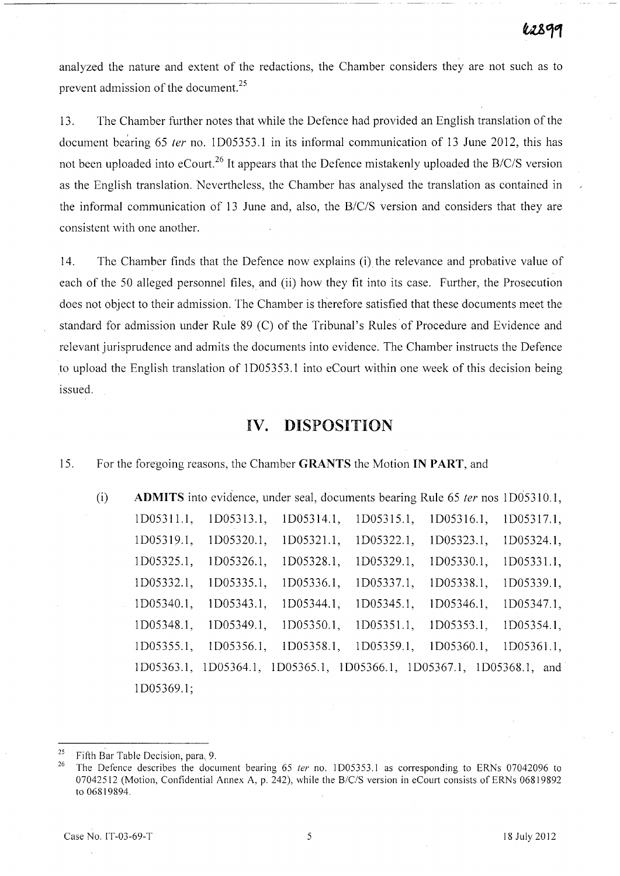analyzed the nature and extent of the redactions, the Chamber considers they are not such as to prevent admission of the document.<sup>25</sup>

13. The Chamber further notes that while the Defence had provided an English translation of the document bearing 65 *ter* no. ID05353.l in its informal communication of 13 June 2012, this has not been uploaded into eCourt. 26 It appears that the Defence mistakenly uploaded the *B/C/S* version as the English translation. Nevertheless, the Chamber has analysed the translation as contained in the informal communication of 13 June and, also, the *B/C/S* version and considers that they are consistent with one another.

14. The Chamber finds that the Defence now explains (i) the relevance and probative value of each of the 50 alleged personnel files, and (ii) how they fit into its case. Further, the Prosecution does not object to their admission. The Chamber is therefore satisfied that these documents meet the standard for admission under Rule 89 (C) of the Tribunal's Rules of Procedure and Evidence and relevant jurisprudence and admits the documents into evidence. The Chamber instructs the Defence to upload the English translation of ID05353.1 into eCourt within one week of this decision being issued.

## **IV.** DISPOSITION

### 15. For the foregoing reasons, the Chamber GRANTS the Motion IN PART, and

(i) **ADMITS** into evidence, under seal, documents bearing Rule 65 *ter* nos 1D05310.1, ID05311.1, ID05313.1, ID05314.1, ID05315.1, ID05316.1, ID05317.1, 1D05319.1, 1D05320.1, 1D05321.1, 1D05322.1, 1D05323.1, 1D05324.1, ID05325.l, ID05326.l, ID05328.1, ID05329.l, ID05330.l, ID05331.1, ID05332.1, ID05335.l, ID05336.1, ID05337.1, ID05338.1, ID05339.1, ID05340.1, ID05343.1, ID05344.1, ID05345.1, ID05346.1, ID05347.1, ID05348.1, ID05349.1, ID05350.1, ID05351.1, ID0535J.l, ID05354.1, 1D05355.1, 1D05356.1, 1D05358.1, 1D05359.1, 1D05360.1, 1D05361.1, 1D05363.1, 1D05364.1, 1D05365.1, 1D05366.1, 1D05367.1, 1D05368.1, and 1 D05369.1;

<sup>&</sup>lt;sup>25</sup> Fifth Bar Table Decision, para. 9.<br><sup>26</sup> The Defense detaillers the day.

<sup>26</sup> The Defence describes the document bearing 65 *ter* no. 1005353.1 as corresponding to ERNs 07042096 to 07042512 (Motion, Confidential Annex A, p. 242), while the B/C/S version in eCourt consists of ERNs 06819892 to 06819894.